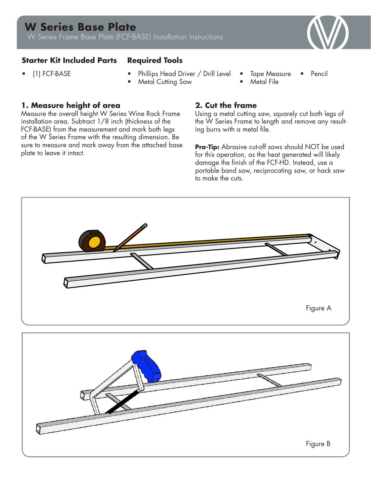# **W Series Base Plate**

W Series Frame Base Plate (FCF-BASE) Installation Instructions



## **Starter Kit Included Parts Required Tools**

- 
- (1) FCF-BASE Phillips Head Driver / Drill Level
	- **Metal Cutting Saw**
- Tape Measure • Pencil
- Metal File

### **1. Measure height of area**

Measure the overall height W Series Wine Rack Frame installation area. Subtract 1/8 inch (thickness of the FCF-BASE) from the measurement and mark both legs of the W Series Frame with the resulting dimension. Be sure to measure and mark away from the attached base plate to leave it intact.

# **2. Cut the frame**

Using a metal cutting saw, squarely cut both legs of the W Series Frame to length and remove any resulting burrs with a metal file.

**Pro-Tip:** Abrasive cut-off saws should NOT be used for this operation, as the heat generated will likely damage the finish of the FCF-HD. Instead, use a portable band saw, reciprocating saw, or hack saw to make the cuts.